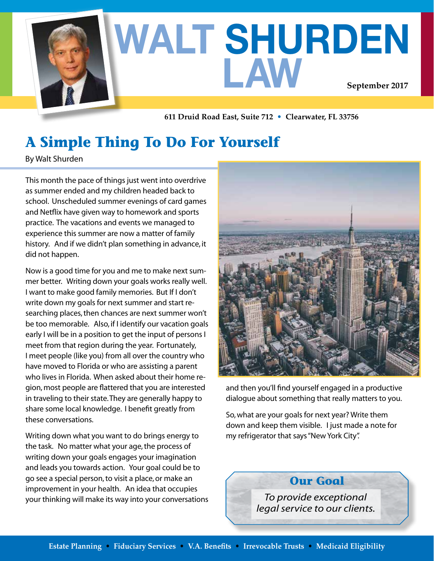

**611 Druid Road East, Suite 712 • Clearwater, FL 33756**

# **A Simple Thing To Do For Yourself**

By Walt Shurden

This month the pace of things just went into overdrive as summer ended and my children headed back to school. Unscheduled summer evenings of card games and Netflix have given way to homework and sports practice. The vacations and events we managed to experience this summer are now a matter of family history. And if we didn't plan something in advance, it did not happen.

Now is a good time for you and me to make next summer better. Writing down your goals works really well. I want to make good family memories. But If I don't write down my goals for next summer and start researching places, then chances are next summer won't be too memorable. Also, if I identify our vacation goals early I will be in a position to get the input of persons I meet from that region during the year. Fortunately, I meet people (like you) from all over the country who have moved to Florida or who are assisting a parent who lives in Florida. When asked about their home region, most people are flattered that you are interested in traveling to their state. They are generally happy to share some local knowledge. I benefit greatly from these conversations.

Writing down what you want to do brings energy to the task. No matter what your age, the process of writing down your goals engages your imagination and leads you towards action. Your goal could be to go see a special person, to visit a place, or make an improvement in your health. An idea that occupies your thinking will make its way into your conversations



and then you'll find yourself engaged in a productive dialogue about something that really matters to you.

So, what are your goals for next year? Write them down and keep them visible. I just made a note for my refrigerator that says "New York City".

**Our Goal**

*To provide exceptional legal service to our clients.*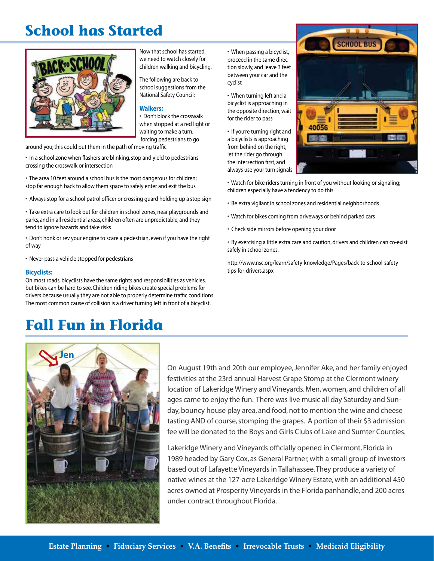### **School has Started**



Now that school has started, we need to watch closely for children walking and bicycling.

The following are back to school suggestions from the National Safety Council:

#### **Walkers:**

• Don't block the crosswalk when stopped at a red light or waiting to make a turn, forcing pedestrians to go

around you; this could put them in the path of moving traffic

- In a school zone when flashers are blinking, stop and yield to pedestrians crossing the crosswalk or intersection
- The area 10 feet around a school bus is the most dangerous for children; stop far enough back to allow them space to safely enter and exit the bus
- Always stop for a school patrol officer or crossing guard holding up a stop sign

• Take extra care to look out for children in school zones, near playgrounds and parks, and in all residential areas, children often are unpredictable, and they tend to ignore hazards and take risks

• Don't honk or rev your engine to scare a pedestrian, even if you have the right of way

• Never pass a vehicle stopped for pedestrians

#### **Bicyclists:**

On most roads,bicyclists have the same rights and responsibilities as vehicles, but bikes can be hard to see. Children riding bikes create special problems for drivers because usually they are not able to properly determine traffic conditions. The most common cause of collision is a driver turning left in front of a bicyclist.

### **Fall Fun in Florida**

• When passing a bicyclist, proceed in the same direction slowly, and leave 3 feet between your car and the cyclist

• When turning left and a bicyclist is approaching in the opposite direction, wait for the rider to pass

• If you're turning right and a bicyclists is approaching from behind on the right, let the rider go through the intersection first, and always use your turn signals



• Watch for bike riders turning in front of you without looking or signaling; children especially have a tendency to do this

- Be extra vigilant in school zones and residential neighborhoods
- Watch for bikes coming from driveways or behind parked cars
- Check side mirrors before opening your door
- By exercising a little extra care and caution, drivers and children can co-exist safely in school zones.

http://www.nsc.org/learn/safety-knowledge/Pages/back-to-school-safetytips-for-drivers.aspx



On August 19th and 20th our employee, Jennifer Ake, and her family enjoyed festivities at the 23rd annual Harvest Grape Stomp at the Clermont winery location of Lakeridge Winery and Vineyards. Men, women, and children of all ages came to enjoy the fun. There was live music all day Saturday and Sunday, bouncy house play area, and food, not to mention the wine and cheese tasting AND of course, stomping the grapes. A portion of their \$3 admission fee will be donated to the Boys and Girls Clubs of Lake and Sumter Counties.

Lakeridge Winery and Vineyards officially opened in Clermont, Florida in 1989 headed by Gary Cox, as General Partner, with a small group of investors based out of Lafayette Vineyards in Tallahassee. They produce a variety of native wines at the 127-acre Lakeridge Winery Estate, with an additional 450 acres owned at Prosperity Vineyards in the Florida panhandle, and 200 acres under contract throughout Florida.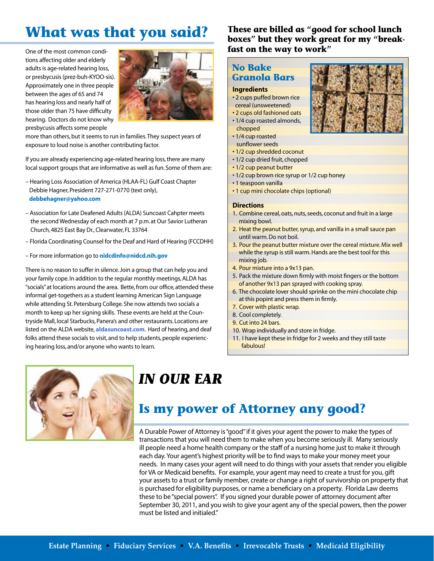# **What was that you said?**

One of the most common conditions affecting older and elderly adults is age-related hearing loss, or presbycusis (prez-buh-KYOO-sis). Approximately one in three people between the ages of 65 and 74 has hearing loss and nearly half of those older than 75 have difficulty hearing. Doctors do not know why presbycusis affects some people



more than others, but it seems to run in families. They suspect years of exposure to loud noise is another contributing factor.

If you are already experiencing age-related hearing loss, there are many local support groups that are informative as well as fun. Some of them are:

- Hearing Loss Association of America (HLAA-FL) Gulf Coast Chapter Debbie Hagner, President 727-271-0770 (text only),  **debbehagner@yahoo.com**
- Association for Late Deafened Adults (ALDA) Suncoast Cahpter meets the second Wednesday of each month at 7 p.m. at Our Savior Lutheran Church, 4825 East Bay Dr., Clearwater, FL 33764
- Florida Coordinating Counsel for the Deaf and Hard of Hearing (FCCDHH)
- For more information go to **nidcdinfo@nidcd.nih.gov**

There is no reason to suffer in silence. Join a group that can help you and your family cope. In addition to the regular monthly meetings, ALDA has "socials" at locations around the area. Bette, from our office, attended these informal get-togethers as a student learning American Sign Language while attending St. Petersburg College. She now attends two socials a month to keep up her signing skills. These events are held at the Countryside Mall, local Starbucks, Panera's and other restaurants. Locations are listed on the ALDA website, **aldasuncoast.com**. Hard of hearing, and deaf folks attend these socials to visit, and to help students, people experiencing hearing loss, and/or anyone who wants to learn.

**These are billed as "good for school lunch boxes" but they work great for my "breakfast on the way to work"**

### **No Bake Granola Bars**

#### **Ingredients**

- 2 cups puffed brown rice cereal (unsweetened)
- 2 cups old fashioned oats
- 1/4 cup roasted almonds, chopped
- 1/4 cup roasted
- sunflower seeds
- 1/2 cup shredded coconut
- 1/2 cup dried fruit, chopped
- 1/2 cup peanut butter
- 1/2 cup brown rice syrup or 1/2 cup honey
- 1 teaspoon vanilla
- 1 cup mini chocolate chips (optional)

#### **Directions**

- 1. Combine cereal, oats, nuts, seeds, coconut and fruit in a large mixing bowl.
- 2. Heat the peanut butter, syrup, and vanilla in a small sauce pan until warm. Do not boil.
- 3. Pour the peanut butter mixture over the cereal mixture. Mix well while the syrup is still warm. Hands are the best tool for this mixing job.
- 4. Pour mixture into a 9x13 pan.
- 5. Pack the mixture down firmly with moist fingers or the bottom of another 9x13 pan sprayed with cooking spray.
- 6. The chocolate lover should sprinke on the mini chocolate chip at this popint and press them in firmly.
- 7. Cover with plastic wrap.
- 8. Cool completely.
- 9. Cut into 24 bars.
- 10. Wrap individually and store in fridge.
- 11. I have kept these in fridge for 2 weeks and they still taste fabulous!



## *IN OUR EAR*

### **Is my power of Attorney any good?**

A Durable Power of Attorney is "good" if it gives your agent the power to make the types of transactions that you will need them to make when you become seriously ill. Many seriously ill people need a home health company or the staff of a nursing home just to make it through each day. Your agent's highest priority will be to find ways to make your money meet your needs. In many cases your agent will need to do things with your assets that render you eligible for VA or Medicaid benefits. For example, your agent may need to create a trust for you, gift your assets to a trust or family member, create or change a right of survivorship on property that is purchased for eligibility purposes, or name a beneficiary on a property. Florida Law deems these to be "special powers". If you signed your durable power of attorney document after September 30, 2011, and you wish to give your agent any of the special powers, then the power must be listed and initialed."